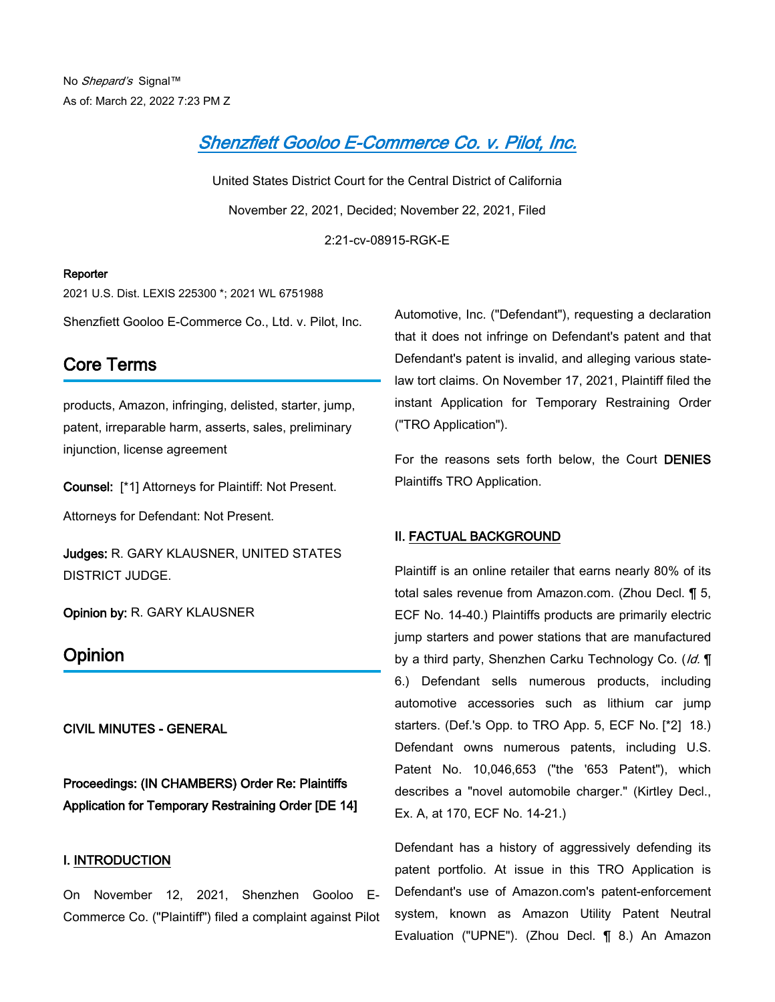# *[Shenzfiett Gooloo E-Commerce Co. v. Pilot, Inc.](https://advance.lexis.com/api/document?collection=cases&id=urn:contentItem:644V-2N71-DXPM-S1G4-00000-00&context=1000516)*

United States District Court for the Central District of California November 22, 2021, Decided; November 22, 2021, Filed 2:21-cv-08915-RGK-E

#### **Reporter**

2021 U.S. Dist. LEXIS 225300 \*; 2021 WL 6751988

Shenzfiett Gooloo E-Commerce Co., Ltd. v. Pilot, Inc.

## **Core Terms**

products, Amazon, infringing, delisted, starter, jump, patent, irreparable harm, asserts, sales, preliminary injunction, license agreement

**Counsel:** [\*1] Attorneys for Plaintiff: Not Present.

Attorneys for Defendant: Not Present.

**Judges:** R. GARY KLAUSNER, UNITED STATES DISTRICT JUDGE.

**Opinion by:** R. GARY KLAUSNER

### **Opinion**

**CIVIL MINUTES - GENERAL**

**Proceedings: (IN CHAMBERS) Order Re: Plaintiffs Application for Temporary Restraining Order [DE 14]**

#### **I. INTRODUCTION**

On November 12, 2021, Shenzhen Gooloo E-Commerce Co. ("Plaintiff") filed a complaint against Pilot Automotive, Inc. ("Defendant"), requesting a declaration that it does not infringe on Defendant's patent and that Defendant's patent is invalid, and alleging various statelaw tort claims. On November 17, 2021, Plaintiff filed the instant Application for Temporary Restraining Order ("TRO Application").

For the reasons sets forth below, the Court **DENIES** Plaintiffs TRO Application.

#### **II. FACTUAL BACKGROUND**

Plaintiff is an online retailer that earns nearly 80% of its total sales revenue from Amazon.com. (Zhou Decl. ¶ 5, ECF No. 14-40.) Plaintiffs products are primarily electric jump starters and power stations that are manufactured by a third party, Shenzhen Carku Technology Co. (*Id.* ¶ 6.) Defendant sells numerous products, including automotive accessories such as lithium car jump starters. (Def.'s Opp. to TRO App. 5, ECF No. [\*2] 18.) Defendant owns numerous patents, including U.S. Patent No. 10,046,653 ("the '653 Patent"), which describes a "novel automobile charger." (Kirtley Decl., Ex. A, at 170, ECF No. 14-21.)

Defendant has a history of aggressively defending its patent portfolio. At issue in this TRO Application is Defendant's use of Amazon.com's patent-enforcement system, known as Amazon Utility Patent Neutral Evaluation ("UPNE"). (Zhou Decl. ¶ 8.) An Amazon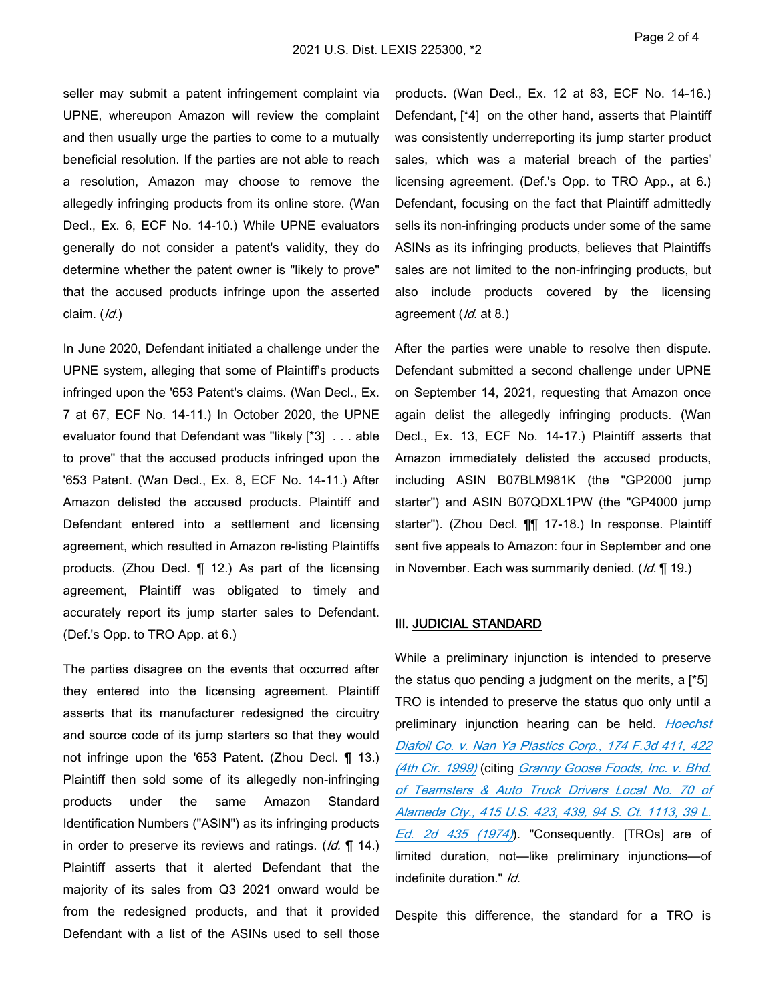seller may submit a patent infringement complaint via UPNE, whereupon Amazon will review the complaint and then usually urge the parties to come to a mutually beneficial resolution. If the parties are not able to reach a resolution, Amazon may choose to remove the allegedly infringing products from its online store. (Wan Decl., Ex. 6, ECF No. 14-10.) While UPNE evaluators generally do not consider a patent's validity, they do determine whether the patent owner is "likely to prove" that the accused products infringe upon the asserted claim. (*Id.*)

In June 2020, Defendant initiated a challenge under the UPNE system, alleging that some of Plaintiff's products infringed upon the '653 Patent's claims. (Wan Decl., Ex. 7 at 67, ECF No. 14-11.) In October 2020, the UPNE evaluator found that Defendant was "likely [\*3] . . . able to prove" that the accused products infringed upon the '653 Patent. (Wan Decl., Ex. 8, ECF No. 14-11.) After Amazon delisted the accused products. Plaintiff and Defendant entered into a settlement and licensing agreement, which resulted in Amazon re-listing Plaintiffs products. (Zhou Decl. ¶ 12.) As part of the licensing agreement, Plaintiff was obligated to timely and accurately report its jump starter sales to Defendant. (Def.'s Opp. to TRO App. at 6.)

The parties disagree on the events that occurred after they entered into the licensing agreement. Plaintiff asserts that its manufacturer redesigned the circuitry and source code of its jump starters so that they would not infringe upon the '653 Patent. (Zhou Decl. ¶ 13.) Plaintiff then sold some of its allegedly non-infringing products under the same Amazon Standard Identification Numbers ("ASIN") as its infringing products in order to preserve its reviews and ratings. (*Id.* ¶ 14.) Plaintiff asserts that it alerted Defendant that the majority of its sales from Q3 2021 onward would be from the redesigned products, and that it provided Defendant with a list of the ASINs used to sell those

products. (Wan Decl., Ex. 12 at 83, ECF No. 14-16.) Defendant, [\*4] on the other hand, asserts that Plaintiff was consistently underreporting its jump starter product sales, which was a material breach of the parties' licensing agreement. (Def.'s Opp. to TRO App., at 6.) Defendant, focusing on the fact that Plaintiff admittedly sells its non-infringing products under some of the same ASINs as its infringing products, believes that Plaintiffs sales are not limited to the non-infringing products, but also include products covered by the licensing agreement (*Id.* at 8.)

After the parties were unable to resolve then dispute. Defendant submitted a second challenge under UPNE on September 14, 2021, requesting that Amazon once again delist the allegedly infringing products. (Wan Decl., Ex. 13, ECF No. 14-17.) Plaintiff asserts that Amazon immediately delisted the accused products, including ASIN B07BLM981K (the "GP2000 jump starter") and ASIN B07QDXL1PW (the "GP4000 jump starter"). (Zhou Decl. ¶¶ 17-18.) In response. Plaintiff sent five appeals to Amazon: four in September and one in November. Each was summarily denied. (*Id.* ¶ 19.)

#### **III. JUDICIAL STANDARD**

While a preliminary injunction is intended to preserve the status quo pending a judgment on the merits, a  $\lceil *5 \rceil$ TRO is intended to preserve the status quo only until a preliminary injunction hearing can be held. *[Hoechst](https://advance.lexis.com/api/document?collection=cases&id=urn:contentItem:3W64-32C0-0038-X32P-00000-00&context=1000516)  [Diafoil Co. v. Nan Ya Plastics Corp., 174 F.3d 411, 422](https://advance.lexis.com/api/document?collection=cases&id=urn:contentItem:3W64-32C0-0038-X32P-00000-00&context=1000516)  [\(4th Cir. 1999\)](https://advance.lexis.com/api/document?collection=cases&id=urn:contentItem:3W64-32C0-0038-X32P-00000-00&context=1000516)* (citing *[Granny Goose Foods, Inc. v. Bhd.](https://advance.lexis.com/api/document?collection=cases&id=urn:contentItem:3S4X-CDW0-003B-S3WR-00000-00&context=1000516)  [of Teamsters & Auto Truck Drivers Local No. 70 of](https://advance.lexis.com/api/document?collection=cases&id=urn:contentItem:3S4X-CDW0-003B-S3WR-00000-00&context=1000516)  [Alameda Cty., 415 U.S. 423, 439, 94 S. Ct. 1113, 39 L.](https://advance.lexis.com/api/document?collection=cases&id=urn:contentItem:3S4X-CDW0-003B-S3WR-00000-00&context=1000516)  [Ed. 2d 435 \(1974\)](https://advance.lexis.com/api/document?collection=cases&id=urn:contentItem:3S4X-CDW0-003B-S3WR-00000-00&context=1000516)*). "Consequently. [TROs] are of limited duration, not—like preliminary injunctions—of indefinite duration." *Id.*

Despite this difference, the standard for a TRO is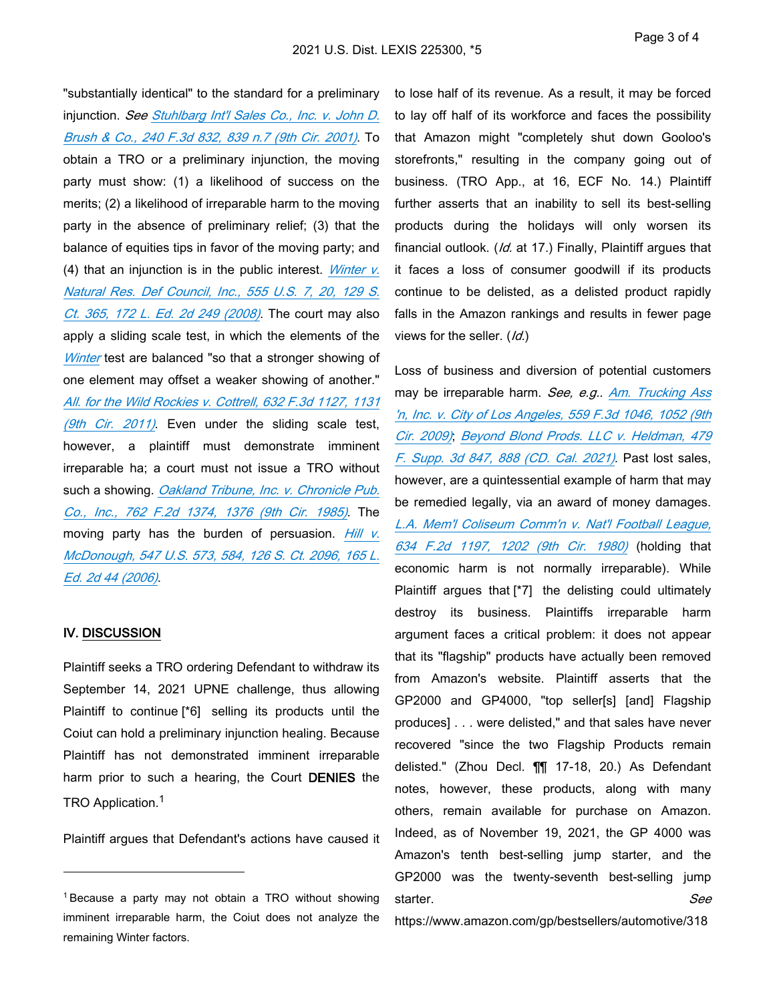"substantially identical" to the standard for a preliminary injunction. *See [Stuhlbarg Int'l Sales Co., Inc. v. John D.](https://advance.lexis.com/api/document?collection=cases&id=urn:contentItem:42C0-31N0-0038-X2G9-00000-00&context=1000516)  [Brush & Co., 240 F.3d 832, 839 n.7 \(9th Cir. 2001\)](https://advance.lexis.com/api/document?collection=cases&id=urn:contentItem:42C0-31N0-0038-X2G9-00000-00&context=1000516)*. To obtain a TRO or a preliminary injunction, the moving party must show: (1) a likelihood of success on the merits; (2) a likelihood of irreparable harm to the moving party in the absence of preliminary relief; (3) that the balance of equities tips in favor of the moving party; and (4) that an injunction is in the public interest. *[Winter v.](https://advance.lexis.com/api/document?collection=cases&id=urn:contentItem:4TX2-8KV0-TXFX-13DV-00000-00&context=1000516)  [Natural Res. Def Council, Inc., 555 U.S. 7, 20, 129 S.](https://advance.lexis.com/api/document?collection=cases&id=urn:contentItem:4TX2-8KV0-TXFX-13DV-00000-00&context=1000516)  [Ct. 365, 172 L. Ed. 2d 249 \(2008\)](https://advance.lexis.com/api/document?collection=cases&id=urn:contentItem:4TX2-8KV0-TXFX-13DV-00000-00&context=1000516)*. The court may also apply a sliding scale test, in which the elements of the *[Winter](https://advance.lexis.com/api/document?collection=cases&id=urn:contentItem:4TX2-8KV0-TXFX-13DV-00000-00&context=1000516)* test are balanced "so that a stronger showing of one element may offset a weaker showing of another." *[All. for the Wild Rockies v. Cottrell, 632 F.3d 1127, 1131](https://advance.lexis.com/api/document?collection=cases&id=urn:contentItem:521H-5N81-652R-80P4-00000-00&context=1000516)  [\(9th Cir. 2011\)](https://advance.lexis.com/api/document?collection=cases&id=urn:contentItem:521H-5N81-652R-80P4-00000-00&context=1000516)*. Even under the sliding scale test, however, a plaintiff must demonstrate imminent irreparable ha; a court must not issue a TRO without such a showing. *[Oakland Tribune, Inc. v. Chronicle Pub.](https://advance.lexis.com/api/document?collection=cases&id=urn:contentItem:3S4X-H130-0039-P4D5-00000-00&context=1000516)  [Co., Inc., 762 F.2d 1374, 1376 \(9th Cir. 1985\)](https://advance.lexis.com/api/document?collection=cases&id=urn:contentItem:3S4X-H130-0039-P4D5-00000-00&context=1000516)*. The moving party has the burden of persuasion. *[Hill v.](https://advance.lexis.com/api/document?collection=cases&id=urn:contentItem:4K5H-6H70-004C-0020-00000-00&context=1000516)  [McDonough, 547 U.S. 573, 584, 126 S. Ct. 2096, 165 L.](https://advance.lexis.com/api/document?collection=cases&id=urn:contentItem:4K5H-6H70-004C-0020-00000-00&context=1000516)  [Ed. 2d 44 \(2006\)](https://advance.lexis.com/api/document?collection=cases&id=urn:contentItem:4K5H-6H70-004C-0020-00000-00&context=1000516)*.

#### **IV. DISCUSSION**

Plaintiff seeks a TRO ordering Defendant to withdraw its September 14, 2021 UPNE challenge, thus allowing Plaintiff to continue [\*6] selling its products until the Coiut can hold a preliminary injunction healing. Because Plaintiff has not demonstrated imminent irreparable harm prior to such a hearing, the Court **DENIES** the TRO Application.<sup>1</sup>

Plaintiff argues that Defendant's actions have caused it

to lose half of its revenue. As a result, it may be forced to lay off half of its workforce and faces the possibility that Amazon might "completely shut down Gooloo's storefronts," resulting in the company going out of business. (TRO App., at 16, ECF No. 14.) Plaintiff further asserts that an inability to sell its best-selling products during the holidays will only worsen its financial outlook. (*Id.* at 17.) Finally, Plaintiff argues that it faces a loss of consumer goodwill if its products continue to be delisted, as a delisted product rapidly falls in the Amazon rankings and results in fewer page views for the seller. (*Id.*)

Loss of business and diversion of potential customers may be irreparable harm. *See, e.g.. [Am. Trucking Ass](https://advance.lexis.com/api/document?collection=cases&id=urn:contentItem:4VWC-8TR0-TXFX-D1YK-00000-00&context=1000516)  ['n, Inc. v. City of Los Angeles, 559 F.3d 1046, 1052 \(9th](https://advance.lexis.com/api/document?collection=cases&id=urn:contentItem:4VWC-8TR0-TXFX-D1YK-00000-00&context=1000516)  [Cir. 2009\)](https://advance.lexis.com/api/document?collection=cases&id=urn:contentItem:4VWC-8TR0-TXFX-D1YK-00000-00&context=1000516)*; *[Beyond Blond Prods. LLC v. Heldman, 479](https://advance.lexis.com/api/document?collection=cases&id=urn:contentItem:60MG-JMB1-JWXF-20GJ-00000-00&context=1000516)  [F. Supp. 3d 847, 888 \(CD. Cal. 2021\)](https://advance.lexis.com/api/document?collection=cases&id=urn:contentItem:60MG-JMB1-JWXF-20GJ-00000-00&context=1000516)*. Past lost sales, however, are a quintessential example of harm that may be remedied legally, via an award of money damages. *[L.A. Mem'l Coliseum Comm'n v. Nat'l Football League,](https://advance.lexis.com/api/document?collection=cases&id=urn:contentItem:3S4X-6VK0-0039-W3SF-00000-00&context=1000516)  [634 F.2d 1197, 1202 \(9th Cir. 1980\)](https://advance.lexis.com/api/document?collection=cases&id=urn:contentItem:3S4X-6VK0-0039-W3SF-00000-00&context=1000516)* (holding that economic harm is not normally irreparable). While Plaintiff argues that [\*7] the delisting could ultimately destroy its business. Plaintiffs irreparable harm argument faces a critical problem: it does not appear that its "flagship" products have actually been removed from Amazon's website. Plaintiff asserts that the GP2000 and GP4000, "top seller[s] [and] Flagship produces] . . . were delisted," and that sales have never recovered "since the two Flagship Products remain delisted." (Zhou Decl. ¶¶ 17-18, 20.) As Defendant notes, however, these products, along with many others, remain available for purchase on Amazon. Indeed, as of November 19, 2021, the GP 4000 was Amazon's tenth best-selling jump starter, and the GP2000 was the twenty-seventh best-selling jump starter. *See*

https://www.amazon.com/gp/bestsellers/automotive/318

<sup>1</sup>Because a party may not obtain a TRO without showing imminent irreparable harm, the Coiut does not analyze the remaining Winter factors.